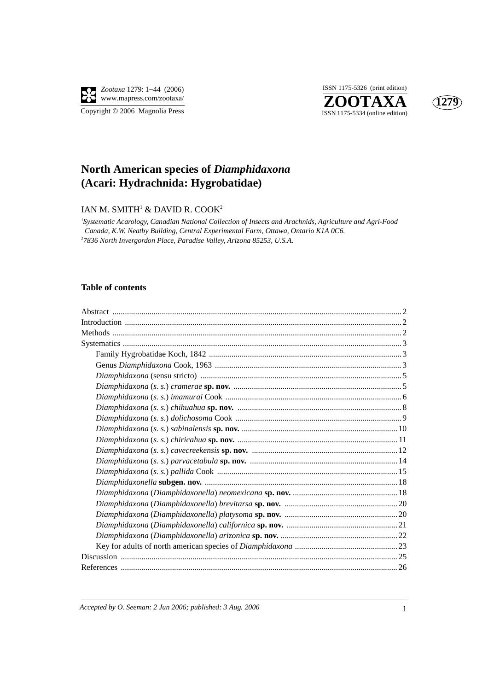

**ZOOTAXA**<br>
ISSN 1175-5334 (online edition) ISSN 1175-5326 (print edition)



# **North American species of** *Diamphidaxona*  **(Acari: Hydrachnida: Hygrobatidae)**

#### IAN M. SMITH $^1$  & DAVID R. COOK $^2$

*1 Systematic Acarology, Canadian National Collection of Insects and Arachnids, Agriculture and Agri-Food Canada, K.W. Neatby Building, Central Experimental Farm, Ottawa, Ontario K1A 0C6. 2 7836 North Invergordon Place, Paradise Valley, Arizona 85253, U.S.A.*

#### **Table of contents**